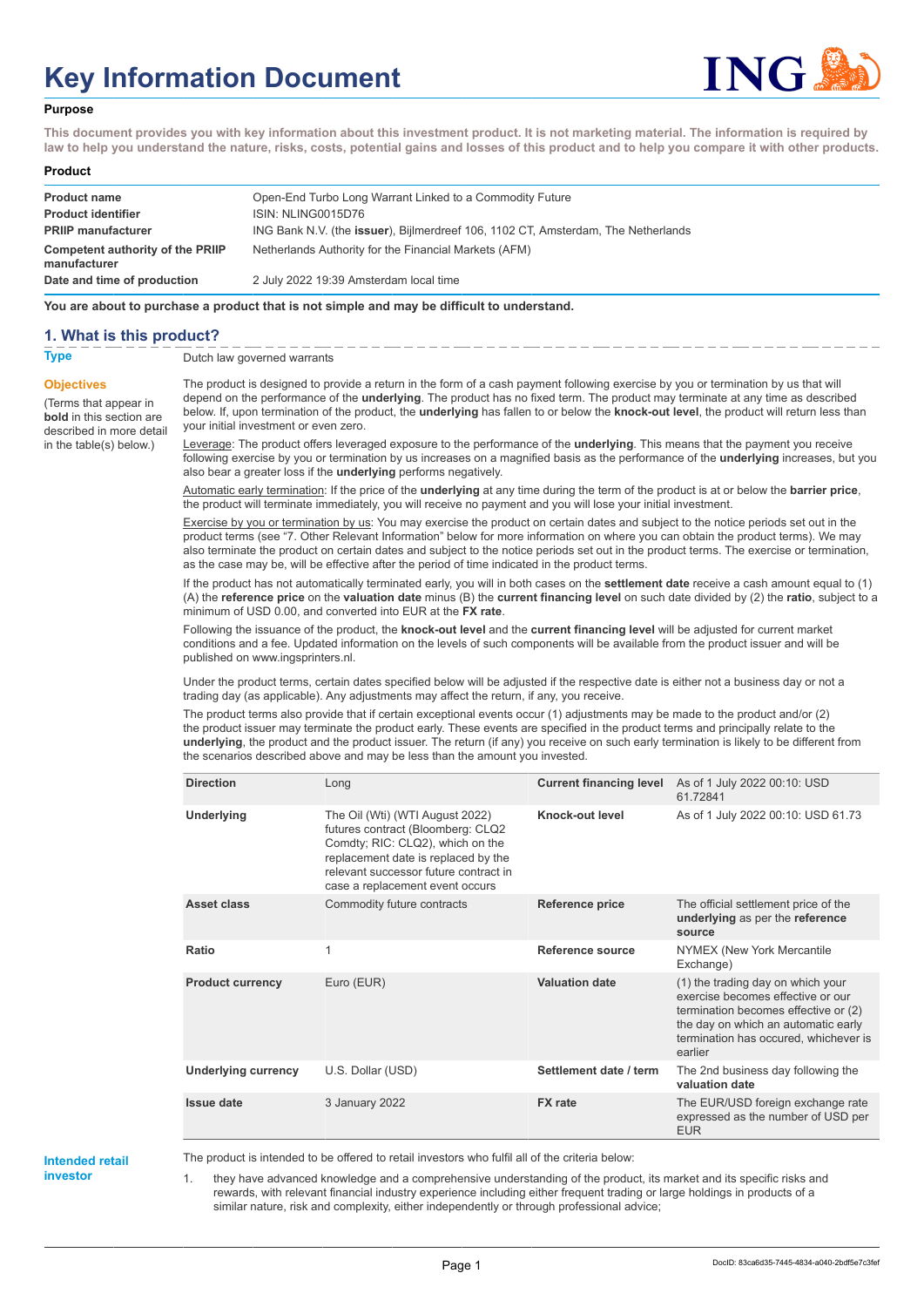# **Key Information Document**



#### **Purpose**

**This document provides you with key information about this investment product. It is not marketing material. The information is required by law to help you understand the nature, risks, costs, potential gains and losses of this product and to help you compare it with other products.**

#### **Product**

| <b>Product name</b>                              | Open-End Turbo Long Warrant Linked to a Commodity Future                                  |
|--------------------------------------------------|-------------------------------------------------------------------------------------------|
| <b>Product identifier</b>                        | ISIN: NLING0015D76                                                                        |
| <b>PRIIP manufacturer</b>                        | ING Bank N.V. (the <b>issuer</b> ), Bijlmerdreef 106, 1102 CT, Amsterdam, The Netherlands |
| Competent authority of the PRIIP<br>manufacturer | Netherlands Authority for the Financial Markets (AFM)                                     |
| Date and time of production                      | 2 July 2022 19:39 Amsterdam local time                                                    |

**You are about to purchase a product that is not simple and may be difficult to understand.**

### **1. What is this product?**

**Objectives**

(Terms that appear in **bold** in this section are

in the table(s) below.)

**Type** Dutch law governed warrants

described in more detail The product is designed to provide a return in the form of a cash payment following exercise by you or termination by us that will depend on the performance of the **underlying**. The product has no fixed term. The product may terminate at any time as described below. If, upon termination of the product, the **underlying** has fallen to or below the **knock-out level**, the product will return less than your initial investment or even zero.

> Leverage: The product offers leveraged exposure to the performance of the **underlying**. This means that the payment you receive following exercise by you or termination by us increases on a magnified basis as the performance of the **underlying** increases, but you also bear a greater loss if the **underlying** performs negatively.

Automatic early termination: If the price of the **underlying** at any time during the term of the product is at or below the **barrier price**, the product will terminate immediately, you will receive no payment and you will lose your initial investment.

Exercise by you or termination by us: You may exercise the product on certain dates and subject to the notice periods set out in the product terms (see "7. Other Relevant Information" below for more information on where you can obtain the product terms). We may also terminate the product on certain dates and subject to the notice periods set out in the product terms. The exercise or termination, as the case may be, will be effective after the period of time indicated in the product terms.

If the product has not automatically terminated early, you will in both cases on the **settlement date** receive a cash amount equal to (1) (A) the **reference price** on the **valuation date** minus (B) the **current financing level** on such date divided by (2) the **ratio**, subject to a minimum of USD 0.00, and converted into EUR at the **FX rate**.

Following the issuance of the product, the **knock-out level** and the **current financing level** will be adjusted for current market conditions and a fee. Updated information on the levels of such components will be available from the product issuer and will be published on www.ingsprinters.nl.

Under the product terms, certain dates specified below will be adjusted if the respective date is either not a business day or not a trading day (as applicable). Any adjustments may affect the return, if any, you receive.

The product terms also provide that if certain exceptional events occur (1) adjustments may be made to the product and/or (2) the product issuer may terminate the product early. These events are specified in the product terms and principally relate to the **underlying**, the product and the product issuer. The return (if any) you receive on such early termination is likely to be different from the scenarios described above and may be less than the amount you invested.

| <b>Direction</b>           | Long                                                                                                                                                                                                                        | <b>Current financing level</b> | As of 1 July 2022 00:10: USD<br>61 72841                                                                                                                                                                  |
|----------------------------|-----------------------------------------------------------------------------------------------------------------------------------------------------------------------------------------------------------------------------|--------------------------------|-----------------------------------------------------------------------------------------------------------------------------------------------------------------------------------------------------------|
| Underlying                 | The Oil (Wti) (WTI August 2022)<br>futures contract (Bloomberg: CLQ2<br>Comdty; RIC: CLQ2), which on the<br>replacement date is replaced by the<br>relevant successor future contract in<br>case a replacement event occurs | Knock-out level                | As of 1 July 2022 00:10: USD 61.73                                                                                                                                                                        |
| Asset class                | Commodity future contracts                                                                                                                                                                                                  | <b>Reference price</b>         | The official settlement price of the<br>underlying as per the reference<br>source                                                                                                                         |
| Ratio                      | $\mathbf{1}$                                                                                                                                                                                                                | Reference source               | NYMEX (New York Mercantile<br>Exchange)                                                                                                                                                                   |
| <b>Product currency</b>    | Euro (EUR)                                                                                                                                                                                                                  | <b>Valuation date</b>          | (1) the trading day on which your<br>exercise becomes effective or our<br>termination becomes effective or (2)<br>the day on which an automatic early<br>termination has occured, whichever is<br>earlier |
| <b>Underlying currency</b> | U.S. Dollar (USD)                                                                                                                                                                                                           | Settlement date / term         | The 2nd business day following the<br>valuation date                                                                                                                                                      |
| <b>Issue date</b>          | 3 January 2022                                                                                                                                                                                                              | <b>FX</b> rate                 | The EUR/USD foreign exchange rate<br>expressed as the number of USD per<br><b>EUR</b>                                                                                                                     |

**Intended retail investor**

The product is intended to be offered to retail investors who fulfil all of the criteria below:

1. they have advanced knowledge and a comprehensive understanding of the product, its market and its specific risks and rewards, with relevant financial industry experience including either frequent trading or large holdings in products of a similar nature, risk and complexity, either independently or through professional advice;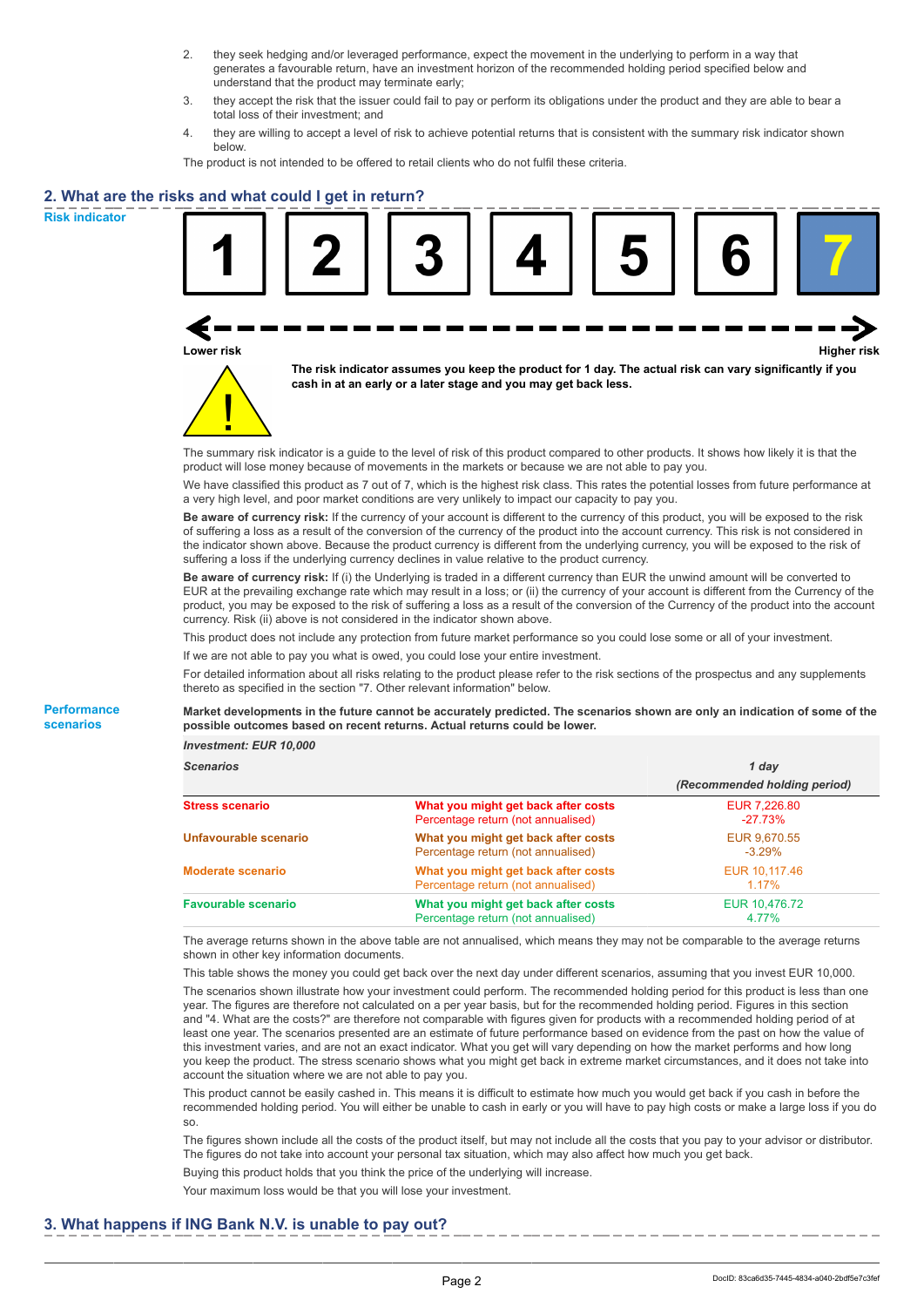- 2. they seek hedging and/or leveraged performance, expect the movement in the underlying to perform in a way that generates a favourable return, have an investment horizon of the recommended holding period specified below and understand that the product may terminate early;
- 3. they accept the risk that the issuer could fail to pay or perform its obligations under the product and they are able to bear a total loss of their investment; and
- 4. they are willing to accept a level of risk to achieve potential returns that is consistent with the summary risk indicator shown below.

The product is not intended to be offered to retail clients who do not fulfil these criteria.

## **2. What are the risks and what could I get in return?**

**Risk indicator**

**Performance scenarios**





**The risk indicator assumes you keep the product for 1 day. The actual risk can vary significantly if you cash in at an early or a later stage and you may get back less.**

The summary risk indicator is a guide to the level of risk of this product compared to other products. It shows how likely it is that the product will lose money because of movements in the markets or because we are not able to pay you.

We have classified this product as 7 out of 7, which is the highest risk class. This rates the potential losses from future performance at a very high level, and poor market conditions are very unlikely to impact our capacity to pay you.

**Be aware of currency risk:** If the currency of your account is different to the currency of this product, you will be exposed to the risk of suffering a loss as a result of the conversion of the currency of the product into the account currency. This risk is not considered in the indicator shown above. Because the product currency is different from the underlying currency, you will be exposed to the risk of suffering a loss if the underlying currency declines in value relative to the product currency.

**Be aware of currency risk:** If (i) the Underlying is traded in a different currency than EUR the unwind amount will be converted to EUR at the prevailing exchange rate which may result in a loss; or (ii) the currency of your account is different from the Currency of the product, you may be exposed to the risk of suffering a loss as a result of the conversion of the Currency of the product into the account currency. Risk (ii) above is not considered in the indicator shown above.

This product does not include any protection from future market performance so you could lose some or all of your investment.

If we are not able to pay you what is owed, you could lose your entire investment.

For detailed information about all risks relating to the product please refer to the risk sections of the prospectus and any supplements thereto as specified in the section "7. Other relevant information" below.

**Market developments in the future cannot be accurately predicted. The scenarios shown are only an indication of some of the possible outcomes based on recent returns. Actual returns could be lower.**

*Investment: EUR 10,000*

| <b>Scenarios</b>           |                                                                           | 1 day                        |  |
|----------------------------|---------------------------------------------------------------------------|------------------------------|--|
|                            |                                                                           | (Recommended holding period) |  |
| Stress scenario            | What you might get back after costs<br>Percentage return (not annualised) | EUR 7.226.80<br>$-27.73\%$   |  |
| Unfavourable scenario      | What you might get back after costs<br>Percentage return (not annualised) | EUR 9.670.55<br>$-3.29\%$    |  |
| <b>Moderate scenario</b>   | What you might get back after costs<br>Percentage return (not annualised) | EUR 10.117.46<br>$1.17\%$    |  |
| <b>Favourable scenario</b> | What you might get back after costs<br>Percentage return (not annualised) | EUR 10,476.72<br>4.77%       |  |

The average returns shown in the above table are not annualised, which means they may not be comparable to the average returns shown in other key information documents.

This table shows the money you could get back over the next day under different scenarios, assuming that you invest EUR 10,000. The scenarios shown illustrate how your investment could perform. The recommended holding period for this product is less than one year. The figures are therefore not calculated on a per year basis, but for the recommended holding period. Figures in this section and "4. What are the costs?" are therefore not comparable with figures given for products with a recommended holding period of at least one year. The scenarios presented are an estimate of future performance based on evidence from the past on how the value of this investment varies, and are not an exact indicator. What you get will vary depending on how the market performs and how long you keep the product. The stress scenario shows what you might get back in extreme market circumstances, and it does not take into account the situation where we are not able to pay you.

This product cannot be easily cashed in. This means it is difficult to estimate how much you would get back if you cash in before the recommended holding period. You will either be unable to cash in early or you will have to pay high costs or make a large loss if you do so.

The figures shown include all the costs of the product itself, but may not include all the costs that you pay to your advisor or distributor. The figures do not take into account your personal tax situation, which may also affect how much you get back.

Buying this product holds that you think the price of the underlying will increase.

Your maximum loss would be that you will lose your investment.

## **3. What happens if ING Bank N.V. is unable to pay out?**